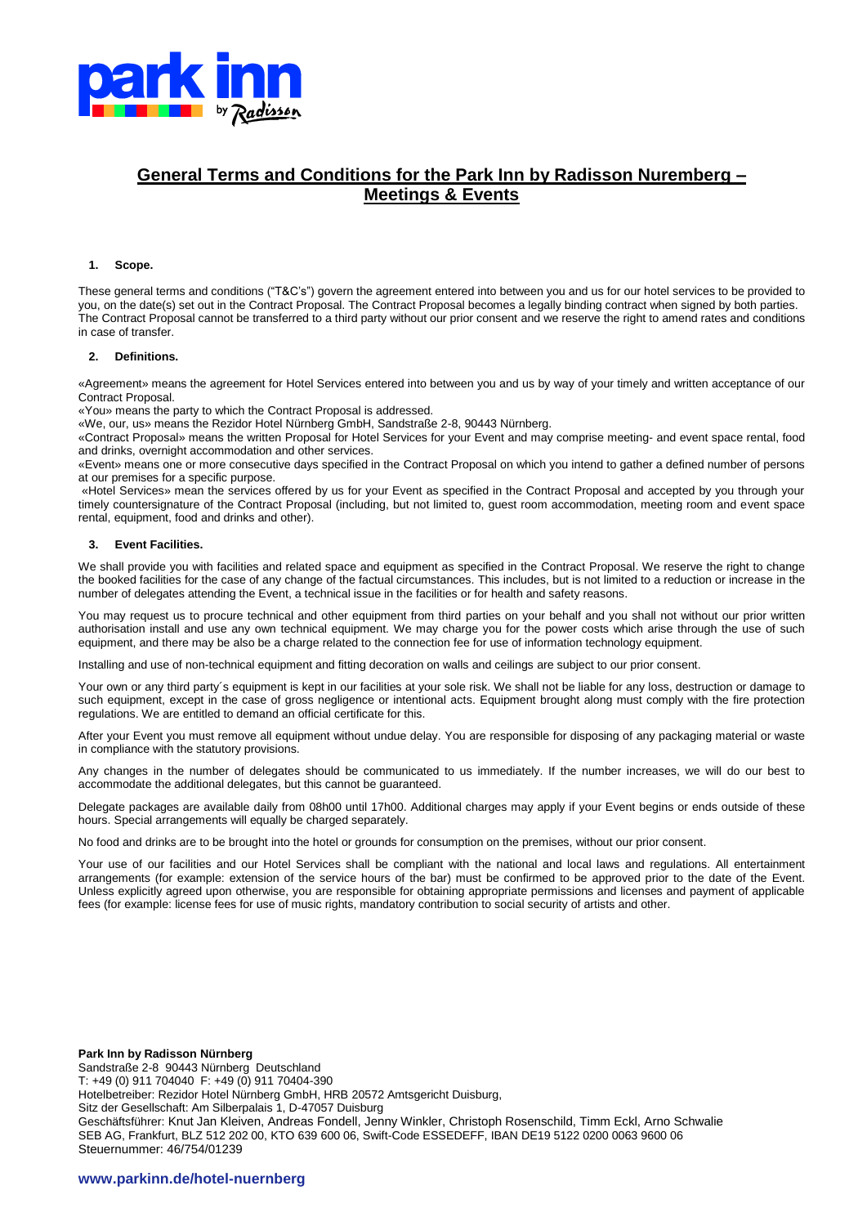

# **General Terms and Conditions for the Park Inn by Radisson Nuremberg – Meetings & Events**

## **1. Scope.**

These general terms and conditions ("T&C's") govern the agreement entered into between you and us for our hotel services to be provided to you, on the date(s) set out in the Contract Proposal. The Contract Proposal becomes a legally binding contract when signed by both parties. The Contract Proposal cannot be transferred to a third party without our prior consent and we reserve the right to amend rates and conditions in case of transfer.

#### **2. Definitions.**

«Agreement» means the agreement for Hotel Services entered into between you and us by way of your timely and written acceptance of our Contract Proposal.

«You» means the party to which the Contract Proposal is addressed.

«We, our, us» means the Rezidor Hotel Nürnberg GmbH, Sandstraße 2-8, 90443 Nürnberg.

«Contract Proposal» means the written Proposal for Hotel Services for your Event and may comprise meeting- and event space rental, food and drinks, overnight accommodation and other services.

«Event» means one or more consecutive days specified in the Contract Proposal on which you intend to gather a defined number of persons at our premises for a specific purpose.

«Hotel Services» mean the services offered by us for your Event as specified in the Contract Proposal and accepted by you through your timely countersignature of the Contract Proposal (including, but not limited to, guest room accommodation, meeting room and event space rental, equipment, food and drinks and other).

#### **3. Event Facilities.**

We shall provide you with facilities and related space and equipment as specified in the Contract Proposal. We reserve the right to change the booked facilities for the case of any change of the factual circumstances. This includes, but is not limited to a reduction or increase in the number of delegates attending the Event, a technical issue in the facilities or for health and safety reasons.

You may request us to procure technical and other equipment from third parties on your behalf and you shall not without our prior written authorisation install and use any own technical equipment. We may charge you for the power costs which arise through the use of such equipment, and there may be also be a charge related to the connection fee for use of information technology equipment.

Installing and use of non-technical equipment and fitting decoration on walls and ceilings are subject to our prior consent.

Your own or any third party´s equipment is kept in our facilities at your sole risk. We shall not be liable for any loss, destruction or damage to such equipment, except in the case of gross negligence or intentional acts. Equipment brought along must comply with the fire protection regulations. We are entitled to demand an official certificate for this.

After your Event you must remove all equipment without undue delay. You are responsible for disposing of any packaging material or waste in compliance with the statutory provisions.

Any changes in the number of delegates should be communicated to us immediately. If the number increases, we will do our best to accommodate the additional delegates, but this cannot be guaranteed.

Delegate packages are available daily from 08h00 until 17h00. Additional charges may apply if your Event begins or ends outside of these hours. Special arrangements will equally be charged separately.

No food and drinks are to be brought into the hotel or grounds for consumption on the premises, without our prior consent.

Your use of our facilities and our Hotel Services shall be compliant with the national and local laws and regulations. All entertainment arrangements (for example: extension of the service hours of the bar) must be confirmed to be approved prior to the date of the Event. Unless explicitly agreed upon otherwise, you are responsible for obtaining appropriate permissions and licenses and payment of applicable fees (for example: license fees for use of music rights, mandatory contribution to social security of artists and other.

**Park Inn by Radisson Nürnberg** Sandstraße 2-8 90443 Nürnberg Deutschland T: +49 (0) 911 704040 F: +49 (0) 911 70404-390 Hotelbetreiber: Rezidor Hotel Nürnberg GmbH, HRB 20572 Amtsgericht Duisburg, Sitz der Gesellschaft: Am Silberpalais 1, D-47057 Duisburg Geschäftsführer: Knut Jan Kleiven, Andreas Fondell, Jenny Winkler, Christoph Rosenschild, Timm Eckl, Arno Schwalie SEB AG, Frankfurt, BLZ 512 202 00, KTO 639 600 06, Swift-Code ESSEDEFF, IBAN DE19 5122 0200 0063 9600 06 Steuernummer: 46/754/01239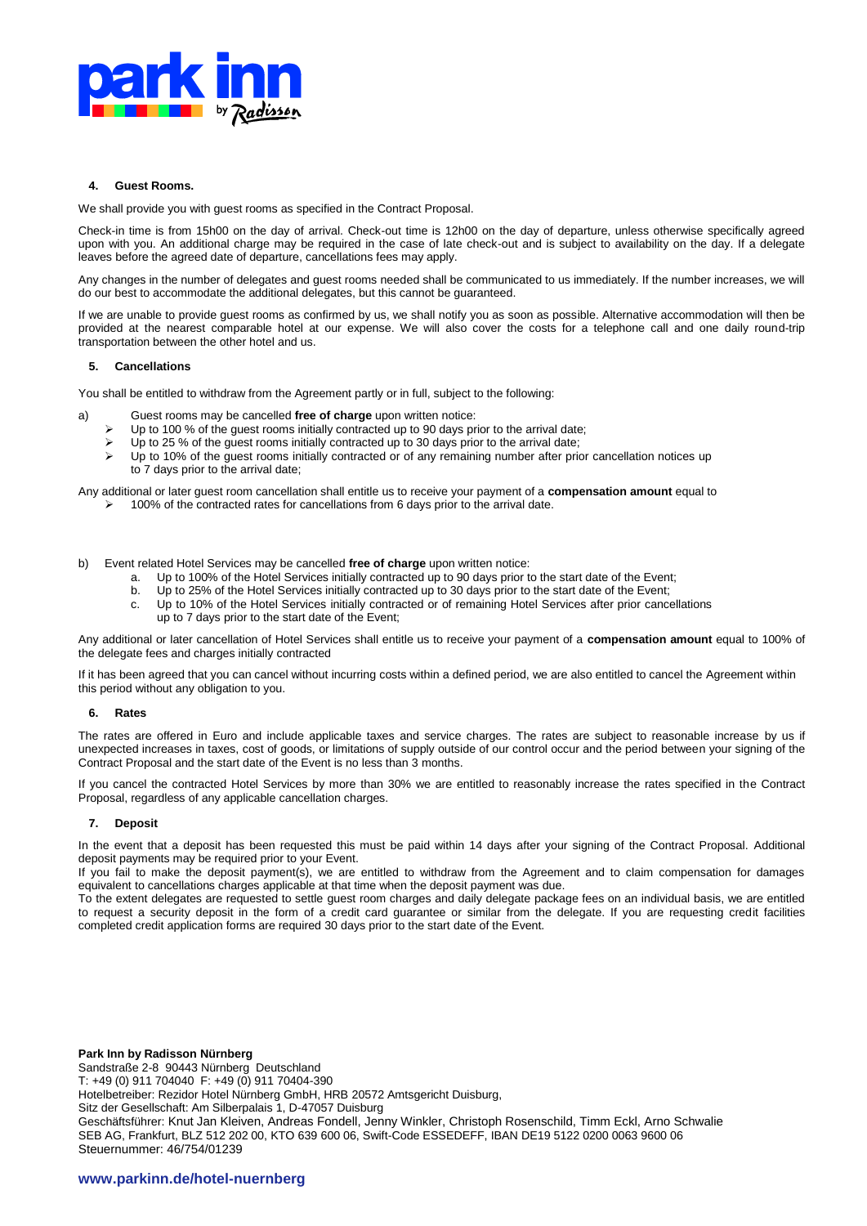

# **4. Guest Rooms.**

We shall provide you with guest rooms as specified in the Contract Proposal.

Check-in time is from 15h00 on the day of arrival. Check-out time is 12h00 on the day of departure, unless otherwise specifically agreed upon with you. An additional charge may be required in the case of late check-out and is subject to availability on the day. If a delegate leaves before the agreed date of departure, cancellations fees may apply.

Any changes in the number of delegates and guest rooms needed shall be communicated to us immediately. If the number increases, we will do our best to accommodate the additional delegates, but this cannot be guaranteed.

If we are unable to provide guest rooms as confirmed by us, we shall notify you as soon as possible. Alternative accommodation will then be provided at the nearest comparable hotel at our expense. We will also cover the costs for a telephone call and one daily round-trip transportation between the other hotel and us.

## **5. Cancellations**

You shall be entitled to withdraw from the Agreement partly or in full, subject to the following:

- a) Guest rooms may be cancelled **free of charge** upon written notice:
	- Up to 100 % of the guest rooms initially contracted up to 90 days prior to the arrival date;
	- Up to 25 % of the guest rooms initially contracted up to 30 days prior to the arrival date;
	- $\triangleright$  Up to 10% of the guest rooms initially contracted or of any remaining number after prior cancellation notices up to 7 days prior to the arrival date;
- Any additional or later guest room cancellation shall entitle us to receive your payment of a **compensation amount** equal to 100% of the contracted rates for cancellations from 6 days prior to the arrival date.
- b) Event related Hotel Services may be cancelled **free of charge** upon written notice:
	- a. Up to 100% of the Hotel Services initially contracted up to 90 days prior to the start date of the Event;
	- b. Up to 25% of the Hotel Services initially contracted up to 30 days prior to the start date of the Event;
	- c. Up to 10% of the Hotel Services initially contracted or of remaining Hotel Services after prior cancellations
		- up to 7 days prior to the start date of the Event;

Any additional or later cancellation of Hotel Services shall entitle us to receive your payment of a **compensation amount** equal to 100% of the delegate fees and charges initially contracted

If it has been agreed that you can cancel without incurring costs within a defined period, we are also entitled to cancel the Agreement within this period without any obligation to you.

#### **6. Rates**

The rates are offered in Euro and include applicable taxes and service charges. The rates are subject to reasonable increase by us if unexpected increases in taxes, cost of goods, or limitations of supply outside of our control occur and the period between your signing of the Contract Proposal and the start date of the Event is no less than 3 months.

If you cancel the contracted Hotel Services by more than 30% we are entitled to reasonably increase the rates specified in the Contract Proposal, regardless of any applicable cancellation charges.

#### **7. Deposit**

In the event that a deposit has been requested this must be paid within 14 days after your signing of the Contract Proposal. Additional deposit payments may be required prior to your Event.

If you fail to make the deposit payment(s), we are entitled to withdraw from the Agreement and to claim compensation for damages equivalent to cancellations charges applicable at that time when the deposit payment was due.

To the extent delegates are requested to settle guest room charges and daily delegate package fees on an individual basis, we are entitled to request a security deposit in the form of a credit card guarantee or similar from the delegate. If you are requesting credit facilities completed credit application forms are required 30 days prior to the start date of the Event.

**Park Inn by Radisson Nürnberg** Sandstraße 2-8 90443 Nürnberg Deutschland T: +49 (0) 911 704040 F: +49 (0) 911 70404-390 Hotelbetreiber: Rezidor Hotel Nürnberg GmbH, HRB 20572 Amtsgericht Duisburg, Sitz der Gesellschaft: Am Silberpalais 1, D-47057 Duisburg Geschäftsführer: Knut Jan Kleiven, Andreas Fondell, Jenny Winkler, Christoph Rosenschild, Timm Eckl, Arno Schwalie SEB AG, Frankfurt, BLZ 512 202 00, KTO 639 600 06, Swift-Code ESSEDEFF, IBAN DE19 5122 0200 0063 9600 06 Steuernummer: 46/754/01239